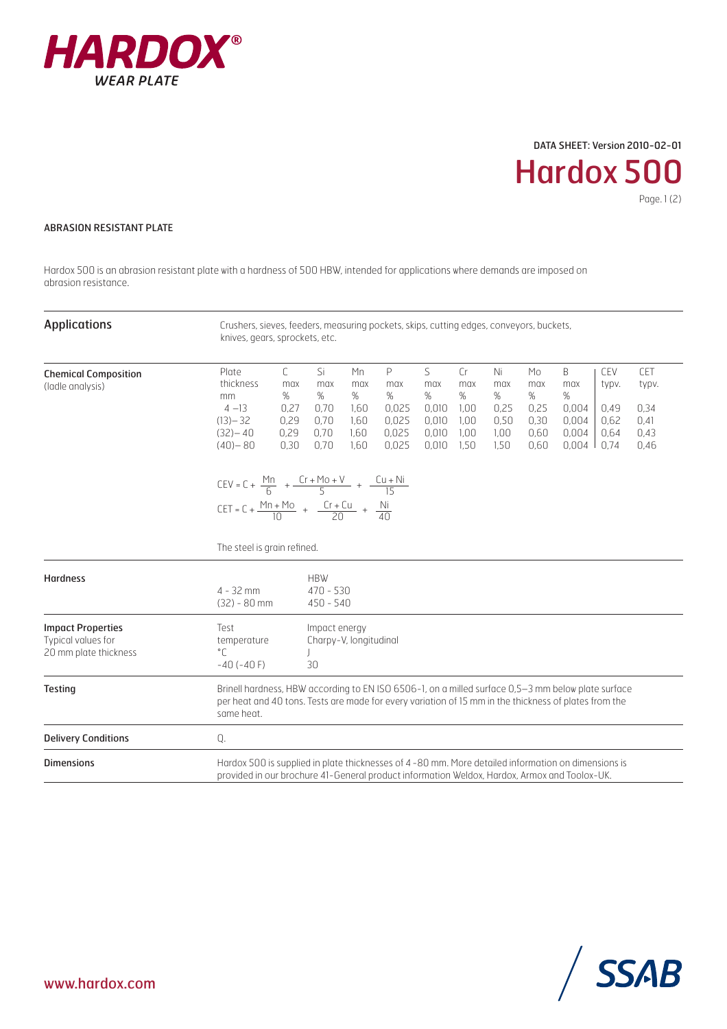

## DATA SHEET: Version 2010-02-01

Hardox 500 Page. 1 (2)

## ABRASION RESISTANT PLATE

Hardox 500 is an abrasion resistant plate with a hardness of 500 HBW, intended for applications where demands are imposed on abrasion resistance.

| <b>Applications</b>                                                     | Crushers, sieves, feeders, measuring pockets, skips, cutting edges, conveyors, buckets,<br>knives, gears, sprockets, etc.                                                                                                 |                                                                                                  |                                                |                                                   |                                                   |                                                   |                                                |                                                |                                                   |                                              |                                              |
|-------------------------------------------------------------------------|---------------------------------------------------------------------------------------------------------------------------------------------------------------------------------------------------------------------------|--------------------------------------------------------------------------------------------------|------------------------------------------------|---------------------------------------------------|---------------------------------------------------|---------------------------------------------------|------------------------------------------------|------------------------------------------------|---------------------------------------------------|----------------------------------------------|----------------------------------------------|
| <b>Chemical Composition</b><br>(ladle analysis)                         | Plate<br>thickness<br>mm<br>$4 - 13$<br>$(13) - 32$<br>$(32) - 40$<br>$(40) - 80$                                                                                                                                         | C.<br>Si<br>max<br>max<br>%<br>%<br>0,27<br>0.70<br>0,29<br>0.70<br>0,29<br>0,70<br>0,70<br>0,30 | Mn<br>max<br>%<br>1.60<br>1.60<br>1,60<br>1,60 | P<br>max<br>%<br>0,025<br>0,025<br>0,025<br>0,025 | S<br>max<br>%<br>0,010<br>0.010<br>0,010<br>0,010 | Cr<br>max<br>$\%$<br>1.00<br>1.00<br>1,00<br>1,50 | Ni<br>max<br>%<br>0,25<br>0,50<br>1,00<br>1,50 | Mo<br>max<br>%<br>0,25<br>0.30<br>0,60<br>0,60 | B<br>max<br>%<br>0,004<br>0.004<br>0,004<br>0,004 | CEV<br>typv.<br>0,49<br>0.62<br>0,64<br>0.74 | CET<br>typv.<br>0,34<br>0.41<br>0,43<br>0,46 |
|                                                                         | $CEV = C + \frac{Mn}{6} + \frac{Cr + Mo + V}{5} + \frac{Cu + Ni}{15}$<br>CET = C + $\frac{Mn + Mo}{10}$ + $\frac{Cr + Cu}{20}$ + $\frac{Ni}{40}$<br>The steel is grain refined.                                           |                                                                                                  |                                                |                                                   |                                                   |                                                   |                                                |                                                |                                                   |                                              |                                              |
| <b>Hardness</b>                                                         | <b>HBW</b><br>$470 - 530$<br>$4 - 32$ mm<br>$(32) - 80$ mm<br>$450 - 540$                                                                                                                                                 |                                                                                                  |                                                |                                                   |                                                   |                                                   |                                                |                                                |                                                   |                                              |                                              |
| <b>Impact Properties</b><br>Typical values for<br>20 mm plate thickness | Test<br>Impact energy<br>Charpy-V, longitudinal<br>temperature<br>$^{\circ}$ $\Gamma$<br>$-40(-40)$<br>30                                                                                                                 |                                                                                                  |                                                |                                                   |                                                   |                                                   |                                                |                                                |                                                   |                                              |                                              |
| <b>Testing</b>                                                          | Brinell hardness, HBW according to EN ISO 6506-1, on a milled surface 0,5-3 mm below plate surface<br>per heat and 40 tons. Tests are made for every variation of 15 mm in the thickness of plates from the<br>same heat. |                                                                                                  |                                                |                                                   |                                                   |                                                   |                                                |                                                |                                                   |                                              |                                              |
| <b>Delivery Conditions</b>                                              | Q.                                                                                                                                                                                                                        |                                                                                                  |                                                |                                                   |                                                   |                                                   |                                                |                                                |                                                   |                                              |                                              |
| <b>Dimensions</b>                                                       | Hardox 500 is supplied in plate thicknesses of 4-80 mm. More detailed information on dimensions is<br>provided in our brochure 41-General product information Weldox, Hardox, Armox and Toolox-UK.                        |                                                                                                  |                                                |                                                   |                                                   |                                                   |                                                |                                                |                                                   |                                              |                                              |